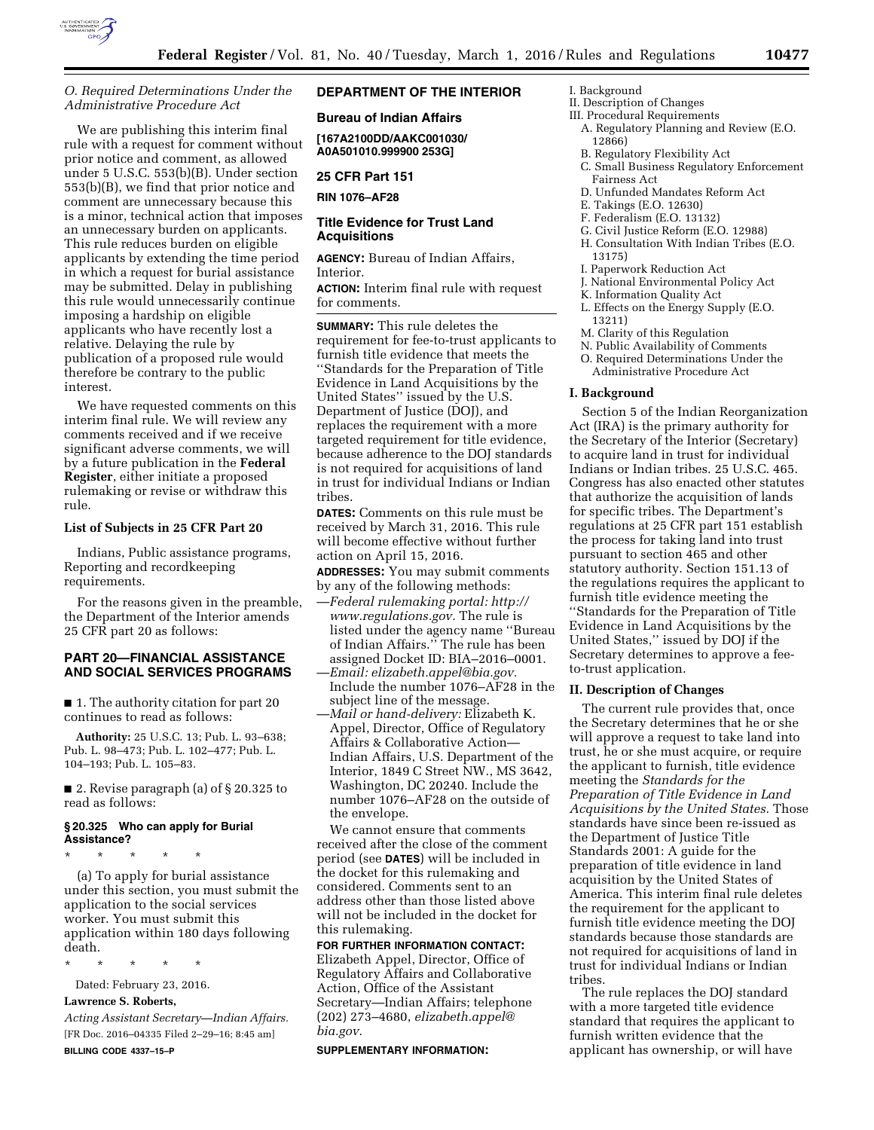

# *O. Required Determinations Under the Administrative Procedure Act*

We are publishing this interim final rule with a request for comment without prior notice and comment, as allowed under 5 U.S.C. 553(b)(B). Under section 553(b)(B), we find that prior notice and comment are unnecessary because this is a minor, technical action that imposes an unnecessary burden on applicants. This rule reduces burden on eligible applicants by extending the time period in which a request for burial assistance may be submitted. Delay in publishing this rule would unnecessarily continue imposing a hardship on eligible applicants who have recently lost a relative. Delaying the rule by publication of a proposed rule would therefore be contrary to the public interest.

We have requested comments on this interim final rule. We will review any comments received and if we receive significant adverse comments, we will by a future publication in the **Federal Register**, either initiate a proposed rulemaking or revise or withdraw this rule.

### **List of Subjects in 25 CFR Part 20**

Indians, Public assistance programs, Reporting and recordkeeping requirements.

For the reasons given in the preamble, the Department of the Interior amends 25 CFR part 20 as follows:

# **PART 20—FINANCIAL ASSISTANCE AND SOCIAL SERVICES PROGRAMS**

■ 1. The authority citation for part 20 continues to read as follows:

**Authority:** 25 U.S.C. 13; Pub. L. 93–638; Pub. L. 98–473; Pub. L. 102–477; Pub. L. 104–193; Pub. L. 105–83.

■ 2. Revise paragraph (a) of § 20.325 to read as follows:

# **§ 20.325 Who can apply for Burial Assistance?**

\* \* \* \* \*

(a) To apply for burial assistance under this section, you must submit the application to the social services worker. You must submit this application within 180 days following death.

\* \* \* \* \*

Dated: February 23, 2016.

# **Lawrence S. Roberts,**

*Acting Assistant Secretary—Indian Affairs.*  [FR Doc. 2016–04335 Filed 2–29–16; 8:45 am] **BILLING CODE 4337–15–P** 

# **DEPARTMENT OF THE INTERIOR**

# **Bureau of Indian Affairs**

**[167A2100DD/AAKC001030/ A0A501010.999900 253G]** 

# **25 CFR Part 151**

**RIN 1076–AF28** 

## **Title Evidence for Trust Land Acquisitions**

**AGENCY:** Bureau of Indian Affairs, Interior.

**ACTION:** Interim final rule with request for comments.

**SUMMARY:** This rule deletes the requirement for fee-to-trust applicants to furnish title evidence that meets the ''Standards for the Preparation of Title Evidence in Land Acquisitions by the United States'' issued by the U.S. Department of Justice (DOJ), and replaces the requirement with a more targeted requirement for title evidence, because adherence to the DOJ standards is not required for acquisitions of land in trust for individual Indians or Indian tribes.

**DATES:** Comments on this rule must be received by March 31, 2016. This rule will become effective without further action on April 15, 2016.

**ADDRESSES:** You may submit comments by any of the following methods:

- —*Federal rulemaking portal: [http://](http://www.regulations.gov) [www.regulations.gov.](http://www.regulations.gov)* The rule is listed under the agency name ''Bureau of Indian Affairs.'' The rule has been assigned Docket ID: BIA–2016–0001.
- —*Email: [elizabeth.appel@bia.gov.](mailto:elizabeth.appel@bia.gov)*  Include the number 1076–AF28 in the subject line of the message.
- —*Mail or hand-delivery:* Elizabeth K. Appel, Director, Office of Regulatory Affairs & Collaborative Action— Indian Affairs, U.S. Department of the Interior, 1849 C Street NW., MS 3642, Washington, DC 20240. Include the number 1076–AF28 on the outside of the envelope.

We cannot ensure that comments received after the close of the comment period (see **DATES**) will be included in the docket for this rulemaking and considered. Comments sent to an address other than those listed above will not be included in the docket for this rulemaking.

# **FOR FURTHER INFORMATION CONTACT:**  Elizabeth Appel, Director, Office of Regulatory Affairs and Collaborative Action, Office of the Assistant Secretary—Indian Affairs; telephone (202) 273–4680, *[elizabeth.appel@](mailto:elizabeth.appel@bia.gov) [bia.gov.](mailto:elizabeth.appel@bia.gov)*

**SUPPLEMENTARY INFORMATION:** 

## I. Background

- II. Description of Changes
- III. Procedural Requirements
	- A. Regulatory Planning and Review (E.O. 12866)
	- B. Regulatory Flexibility Act
	- C. Small Business Regulatory Enforcement Fairness Act
	- D. Unfunded Mandates Reform Act
	- E. Takings (E.O. 12630)
	- F. Federalism (E.O. 13132)
	- G. Civil Justice Reform (E.O. 12988) H. Consultation With Indian Tribes (E.O. 13175)
	- I. Paperwork Reduction Act
	- J. National Environmental Policy Act
	- K. Information Quality Act
	- L. Effects on the Energy Supply (E.O. 13211)
	- M. Clarity of this Regulation
	- N. Public Availability of Comments O. Required Determinations Under the Administrative Procedure Act

#### **I. Background**

Section 5 of the Indian Reorganization Act (IRA) is the primary authority for the Secretary of the Interior (Secretary) to acquire land in trust for individual Indians or Indian tribes. 25 U.S.C. 465. Congress has also enacted other statutes that authorize the acquisition of lands for specific tribes. The Department's regulations at 25 CFR part 151 establish the process for taking land into trust pursuant to section 465 and other statutory authority. Section 151.13 of the regulations requires the applicant to furnish title evidence meeting the ''Standards for the Preparation of Title Evidence in Land Acquisitions by the United States,'' issued by DOJ if the Secretary determines to approve a feeto-trust application.

### **II. Description of Changes**

The current rule provides that, once the Secretary determines that he or she will approve a request to take land into trust, he or she must acquire, or require the applicant to furnish, title evidence meeting the *Standards for the Preparation of Title Evidence in Land Acquisitions by the United States.* Those standards have since been re-issued as the Department of Justice Title Standards 2001: A guide for the preparation of title evidence in land acquisition by the United States of America. This interim final rule deletes the requirement for the applicant to furnish title evidence meeting the DOJ standards because those standards are not required for acquisitions of land in trust for individual Indians or Indian tribes.

The rule replaces the DOJ standard with a more targeted title evidence standard that requires the applicant to furnish written evidence that the applicant has ownership, or will have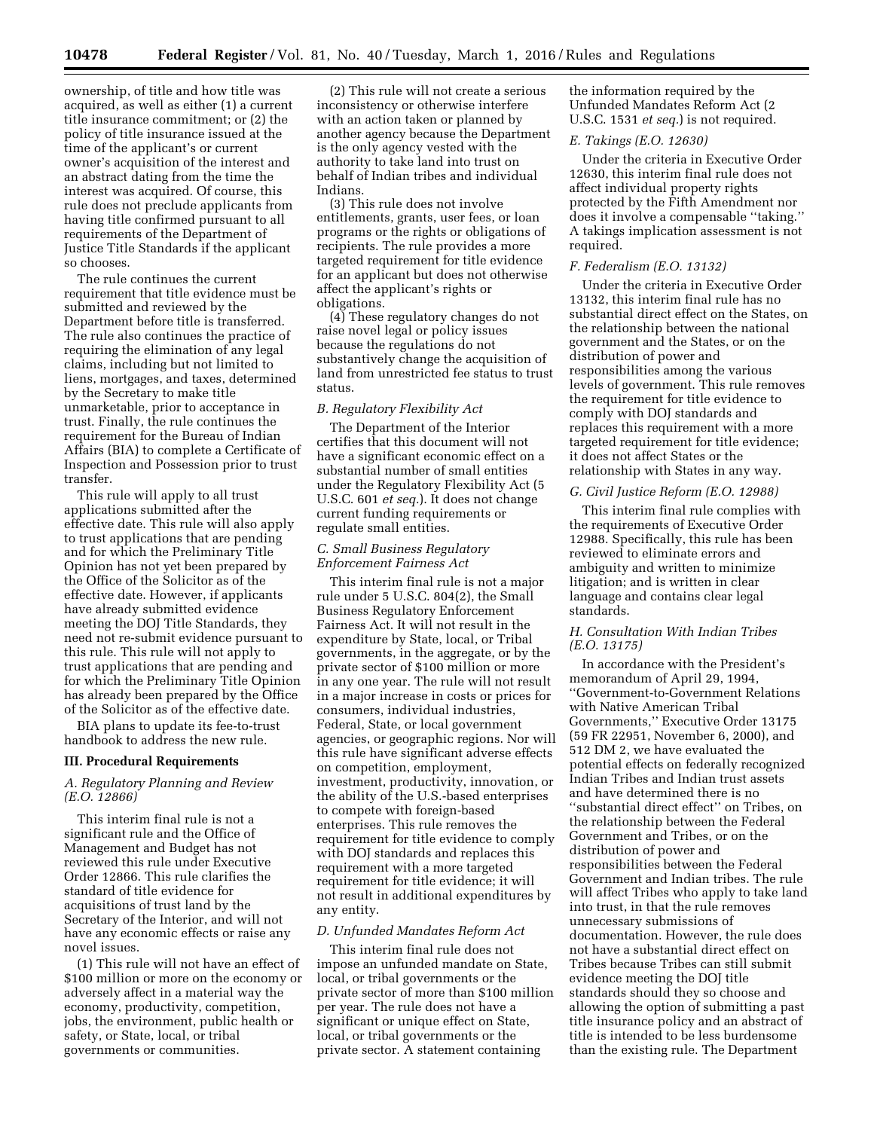ownership, of title and how title was acquired, as well as either (1) a current title insurance commitment; or (2) the policy of title insurance issued at the time of the applicant's or current owner's acquisition of the interest and an abstract dating from the time the interest was acquired. Of course, this rule does not preclude applicants from having title confirmed pursuant to all requirements of the Department of Justice Title Standards if the applicant so chooses.

The rule continues the current requirement that title evidence must be submitted and reviewed by the Department before title is transferred. The rule also continues the practice of requiring the elimination of any legal claims, including but not limited to liens, mortgages, and taxes, determined by the Secretary to make title unmarketable, prior to acceptance in trust. Finally, the rule continues the requirement for the Bureau of Indian Affairs (BIA) to complete a Certificate of Inspection and Possession prior to trust transfer.

This rule will apply to all trust applications submitted after the effective date. This rule will also apply to trust applications that are pending and for which the Preliminary Title Opinion has not yet been prepared by the Office of the Solicitor as of the effective date. However, if applicants have already submitted evidence meeting the DOJ Title Standards, they need not re-submit evidence pursuant to this rule. This rule will not apply to trust applications that are pending and for which the Preliminary Title Opinion has already been prepared by the Office of the Solicitor as of the effective date.

BIA plans to update its fee-to-trust handbook to address the new rule.

#### **III. Procedural Requirements**

# *A. Regulatory Planning and Review (E.O. 12866)*

This interim final rule is not a significant rule and the Office of Management and Budget has not reviewed this rule under Executive Order 12866. This rule clarifies the standard of title evidence for acquisitions of trust land by the Secretary of the Interior, and will not have any economic effects or raise any novel issues.

(1) This rule will not have an effect of \$100 million or more on the economy or adversely affect in a material way the economy, productivity, competition, jobs, the environment, public health or safety, or State, local, or tribal governments or communities.

(2) This rule will not create a serious inconsistency or otherwise interfere with an action taken or planned by another agency because the Department is the only agency vested with the authority to take land into trust on behalf of Indian tribes and individual Indians.

(3) This rule does not involve entitlements, grants, user fees, or loan programs or the rights or obligations of recipients. The rule provides a more targeted requirement for title evidence for an applicant but does not otherwise affect the applicant's rights or obligations.

(4) These regulatory changes do not raise novel legal or policy issues because the regulations do not substantively change the acquisition of land from unrestricted fee status to trust status.

#### *B. Regulatory Flexibility Act*

The Department of the Interior certifies that this document will not have a significant economic effect on a substantial number of small entities under the Regulatory Flexibility Act (5 U.S.C. 601 *et seq.*). It does not change current funding requirements or regulate small entities.

## *C. Small Business Regulatory Enforcement Fairness Act*

This interim final rule is not a major rule under 5 U.S.C. 804(2), the Small Business Regulatory Enforcement Fairness Act. It will not result in the expenditure by State, local, or Tribal governments, in the aggregate, or by the private sector of \$100 million or more in any one year. The rule will not result in a major increase in costs or prices for consumers, individual industries, Federal, State, or local government agencies, or geographic regions. Nor will this rule have significant adverse effects on competition, employment, investment, productivity, innovation, or the ability of the U.S.-based enterprises to compete with foreign-based enterprises. This rule removes the requirement for title evidence to comply with DOJ standards and replaces this requirement with a more targeted requirement for title evidence; it will not result in additional expenditures by any entity.

#### *D. Unfunded Mandates Reform Act*

This interim final rule does not impose an unfunded mandate on State, local, or tribal governments or the private sector of more than \$100 million per year. The rule does not have a significant or unique effect on State, local, or tribal governments or the private sector. A statement containing

the information required by the Unfunded Mandates Reform Act (2 U.S.C. 1531 *et seq.*) is not required.

## *E. Takings (E.O. 12630)*

Under the criteria in Executive Order 12630, this interim final rule does not affect individual property rights protected by the Fifth Amendment nor does it involve a compensable ''taking.'' A takings implication assessment is not required.

#### *F. Federalism (E.O. 13132)*

Under the criteria in Executive Order 13132, this interim final rule has no substantial direct effect on the States, on the relationship between the national government and the States, or on the distribution of power and responsibilities among the various levels of government. This rule removes the requirement for title evidence to comply with DOJ standards and replaces this requirement with a more targeted requirement for title evidence; it does not affect States or the relationship with States in any way.

#### *G. Civil Justice Reform (E.O. 12988)*

This interim final rule complies with the requirements of Executive Order 12988. Specifically, this rule has been reviewed to eliminate errors and ambiguity and written to minimize litigation; and is written in clear language and contains clear legal standards.

### *H. Consultation With Indian Tribes (E.O. 13175)*

In accordance with the President's memorandum of April 29, 1994, ''Government-to-Government Relations with Native American Tribal Governments,'' Executive Order 13175 (59 FR 22951, November 6, 2000), and 512 DM 2, we have evaluated the potential effects on federally recognized Indian Tribes and Indian trust assets and have determined there is no ''substantial direct effect'' on Tribes, on the relationship between the Federal Government and Tribes, or on the distribution of power and responsibilities between the Federal Government and Indian tribes. The rule will affect Tribes who apply to take land into trust, in that the rule removes unnecessary submissions of documentation. However, the rule does not have a substantial direct effect on Tribes because Tribes can still submit evidence meeting the DOJ title standards should they so choose and allowing the option of submitting a past title insurance policy and an abstract of title is intended to be less burdensome than the existing rule. The Department